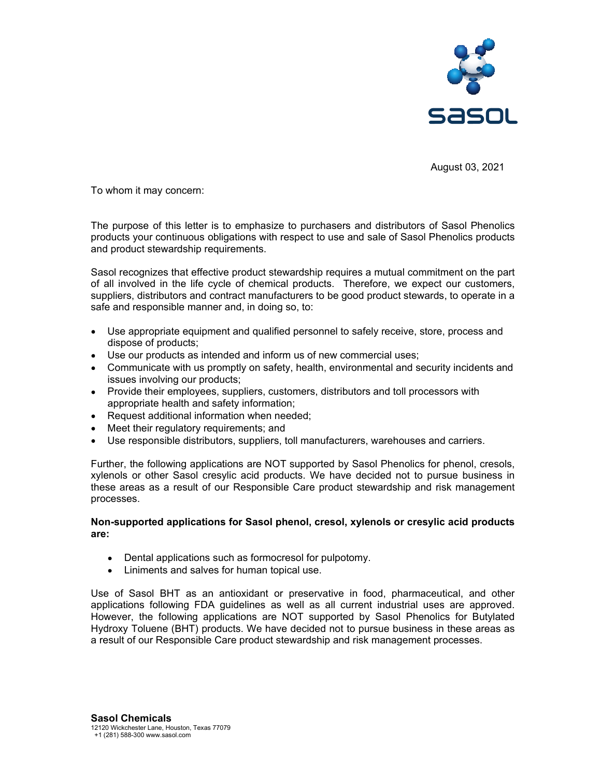

August 03, 2021

To whom it may concern:

The purpose of this letter is to emphasize to purchasers and distributors of Sasol Phenolics products your continuous obligations with respect to use and sale of Sasol Phenolics products and product stewardship requirements.

Sasol recognizes that effective product stewardship requires a mutual commitment on the part of all involved in the life cycle of chemical products. Therefore, we expect our customers, suppliers, distributors and contract manufacturers to be good product stewards, to operate in a safe and responsible manner and, in doing so, to:

- Use appropriate equipment and qualified personnel to safely receive, store, process and  $\bullet$ dispose of products;
- Use our products as intended and inform us of new commercial uses;
- Communicate with us promptly on safety, health, environmental and security incidents and issues involving our products;
- Provide their employees, suppliers, customers, distributors and toll processors with appropriate health and safety information;
- $\bullet$ Request additional information when needed;
- Meet their regulatory requirements; and
- Use responsible distributors, suppliers, toll manufacturers, warehouses and carriers.  $\bullet$

Further, the following applications are NOT supported by Sasol Phenolics for phenol, cresols, xylenols or other Sasol cresylic acid products. We have decided not to pursue business in these areas as a result of our Responsible Care product stewardship and risk management processes.

## Non-supported applications for Sasol phenol, cresol, xylenols or cresylic acid products are:

- Dental applications such as formocresol for pulpotomy.
- Liniments and salves for human topical use.

Use of Sasol BHT as an antioxidant or preservative in food, pharmaceutical, and other applications following FDA guidelines as well as all current industrial uses are approved. However, the following applications are NOT supported by Sasol Phenolics for Butylated Hydroxy Toluene (BHT) products. We have decided not to pursue business in these areas as a result of our Responsible Care product stewardship and risk management processes.